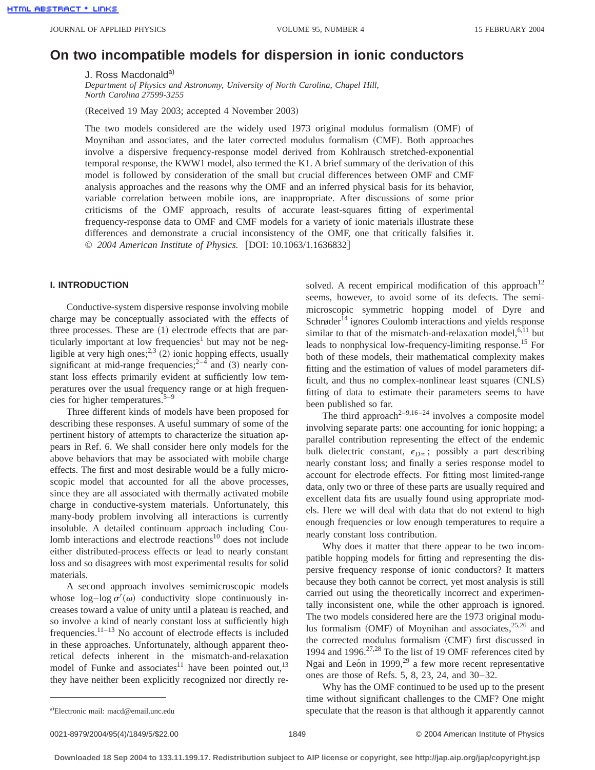# **On two incompatible models for dispersion in ionic conductors**

J. Ross Macdonald<sup>a)</sup>

*Department of Physics and Astronomy, University of North Carolina, Chapel Hill, North Carolina 27599-3255*

(Received 19 May 2003; accepted 4 November 2003)

The two models considered are the widely used  $1973$  original modulus formalism  $(OMF)$  of Moynihan and associates, and the later corrected modulus formalism (CMF). Both approaches involve a dispersive frequency-response model derived from Kohlrausch stretched-exponential temporal response, the KWW1 model, also termed the K1. A brief summary of the derivation of this model is followed by consideration of the small but crucial differences between OMF and CMF analysis approaches and the reasons why the OMF and an inferred physical basis for its behavior, variable correlation between mobile ions, are inappropriate. After discussions of some prior criticisms of the OMF approach, results of accurate least-squares fitting of experimental frequency-response data to OMF and CMF models for a variety of ionic materials illustrate these differences and demonstrate a crucial inconsistency of the OMF, one that critically falsifies it. © 2004 American Institute of Physics. [DOI: 10.1063/1.1636832]

## **I. INTRODUCTION**

Conductive-system dispersive response involving mobile charge may be conceptually associated with the effects of three processes. These are  $(1)$  electrode effects that are particularly important at low frequencies<sup>1</sup> but may not be negligible at very high ones;<sup>2,3</sup> (2) ionic hopping effects, usually significant at mid-range frequencies;  $2^{-4}$  and (3) nearly constant loss effects primarily evident at sufficiently low temperatures over the usual frequency range or at high frequencies for higher temperatures. $5-9$ 

Three different kinds of models have been proposed for describing these responses. A useful summary of some of the pertinent history of attempts to characterize the situation appears in Ref. 6. We shall consider here only models for the above behaviors that may be associated with mobile charge effects. The first and most desirable would be a fully microscopic model that accounted for all the above processes, since they are all associated with thermally activated mobile charge in conductive-system materials. Unfortunately, this many-body problem involving all interactions is currently insoluble. A detailed continuum approach including Coulomb interactions and electrode reactions $10$  does not include either distributed-process effects or lead to nearly constant loss and so disagrees with most experimental results for solid materials.

A second approach involves semimicroscopic models whose  $\log - \log \sigma'(\omega)$  conductivity slope continuously increases toward a value of unity until a plateau is reached, and so involve a kind of nearly constant loss at sufficiently high frequencies.11–13 No account of electrode effects is included in these approaches. Unfortunately, although apparent theoretical defects inherent in the mismatch-and-relaxation model of Funke and associates<sup>11</sup> have been pointed out,<sup>13</sup> they have neither been explicitly recognized nor directly resolved. A recent empirical modification of this approach<sup>12</sup> seems, however, to avoid some of its defects. The semimicroscopic symmetric hopping model of Dyre and Schrøder<sup>14</sup> ignores Coulomb interactions and yields response similar to that of the mismatch-and-relaxation model, $6,11$  but leads to nonphysical low-frequency-limiting response.15 For both of these models, their mathematical complexity makes fitting and the estimation of values of model parameters difficult, and thus no complex-nonlinear least squares  $(CNLS)$ fitting of data to estimate their parameters seems to have been published so far.

The third approach<sup>2-9,16-24</sup> involves a composite model involving separate parts: one accounting for ionic hopping; a parallel contribution representing the effect of the endemic bulk dielectric constant,  $\epsilon_{D^\infty}$ ; possibly a part describing nearly constant loss; and finally a series response model to account for electrode effects. For fitting most limited-range data, only two or three of these parts are usually required and excellent data fits are usually found using appropriate models. Here we will deal with data that do not extend to high enough frequencies or low enough temperatures to require a nearly constant loss contribution.

Why does it matter that there appear to be two incompatible hopping models for fitting and representing the dispersive frequency response of ionic conductors? It matters because they both cannot be correct, yet most analysis is still carried out using the theoretically incorrect and experimentally inconsistent one, while the other approach is ignored. The two models considered here are the 1973 original modulus formalism  $(OMF)$  of Moynihan and associates,  $25,26$  and the corrected modulus formalism (CMF) first discussed in 1994 and 1996. $27,28$  To the list of 19 OMF references cited by Ngai and León in 1999, $^{29}$  a few more recent representative ones are those of Refs. 5, 8, 23, 24, and 30–32.

Why has the OMF continued to be used up to the present time without significant challenges to the CMF? One might speculate that the reason is that although it apparently cannot

Electronic mail: macd@email.unc.edu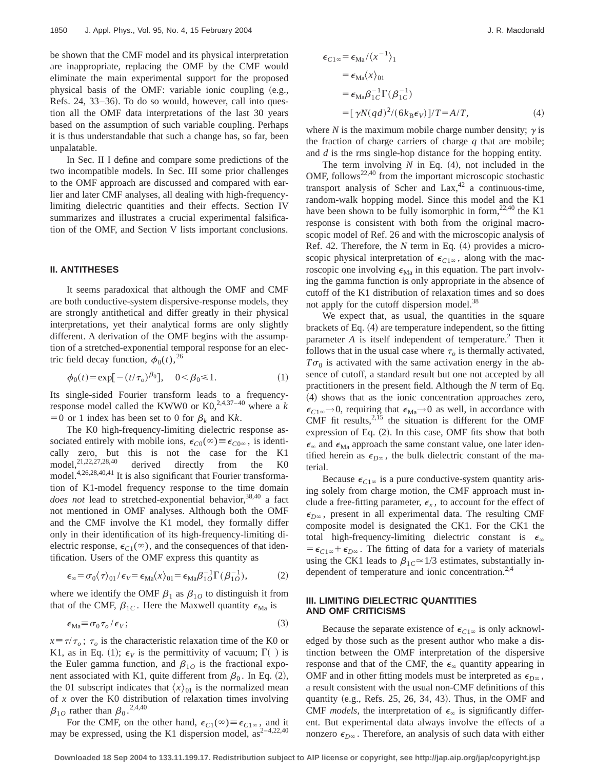be shown that the CMF model and its physical interpretation are inappropriate, replacing the OMF by the CMF would eliminate the main experimental support for the proposed physical basis of the OMF: variable ionic coupling (e.g., Refs. 24, 33–36). To do so would, however, call into question all the OMF data interpretations of the last 30 years based on the assumption of such variable coupling. Perhaps it is thus understandable that such a change has, so far, been unpalatable.

In Sec. II I define and compare some predictions of the two incompatible models. In Sec. III some prior challenges to the OMF approach are discussed and compared with earlier and later CMF analyses, all dealing with high-frequencylimiting dielectric quantities and their effects. Section IV summarizes and illustrates a crucial experimental falsification of the OMF, and Section V lists important conclusions.

### **II. ANTITHESES**

It seems paradoxical that although the OMF and CMF are both conductive-system dispersive-response models, they are strongly antithetical and differ greatly in their physical interpretations, yet their analytical forms are only slightly different. A derivation of the OMF begins with the assumption of a stretched-exponential temporal response for an electric field decay function,  $\phi_0(t)$ , <sup>26</sup>

$$
\phi_0(t) = \exp[-(t/\tau_o)^{\beta_0}], \quad 0 < \beta_0 \le 1.
$$
 (1)

Its single-sided Fourier transform leads to a frequencyresponse model called the KWW0 or  $KO^{2,4,37-40}$  where a k  $=0$  or 1 index has been set to 0 for  $\beta_k$  and Kk.

The K0 high-frequency-limiting dielectric response associated entirely with mobile ions,  $\epsilon_{C0}(\infty) \equiv \epsilon_{C0\infty}$ , is identically zero, but this is not the case for the K1 model, $^{21,22,27,28,40}$  derived directly from the K0 model.4,26,28,40,41 It is also significant that Fourier transformation of K1-model frequency response to the time domain *does not* lead to stretched-exponential behavior,<sup>38,40</sup> a fact not mentioned in OMF analyses. Although both the OMF and the CMF involve the K1 model, they formally differ only in their identification of its high-frequency-limiting dielectric response,  $\epsilon_{C1}(\infty)$ , and the consequences of that identification. Users of the OMF express this quantity as

$$
\epsilon_{\infty} = \sigma_0 \langle \tau \rangle_{01} / \epsilon_V = \epsilon_{\text{Ma}} \langle x \rangle_{01} = \epsilon_{\text{Ma}} \beta_{10}^{-1} \Gamma(\beta_{10}^{-1}), \tag{2}
$$

where we identify the OMF  $\beta_1$  as  $\beta_{10}$  to distinguish it from that of the CMF,  $\beta_{1C}$ . Here the Maxwell quantity  $\epsilon_{Ma}$  is

$$
\epsilon_{\text{Ma}} \equiv \sigma_0 \tau_o / \epsilon_V; \tag{3}
$$

 $x = \tau / \tau_o$ ;  $\tau_o$  is the characteristic relaxation time of the K0 or K1, as in Eq. (1);  $\epsilon_V$  is the permittivity of vacuum;  $\Gamma( )$  is the Euler gamma function, and  $\beta_{10}$  is the fractional exponent associated with K1, quite different from  $\beta_0$ . In Eq. (2), the 01 subscript indicates that  $\langle x \rangle_{01}$  is the normalized mean of *x* over the K0 distribution of relaxation times involving  $\beta_{10}$  rather than  $\beta_0$ .<sup>2,4,40</sup>

For the CMF, on the other hand,  $\epsilon_{C1}(\infty) \equiv \epsilon_{C1\infty}$ , and it may be expressed, using the K1 dispersion model,  $as^{2-4,22,40}$ 

$$
\epsilon_{C1\infty} = \epsilon_{Ma} / \langle x^{-1} \rangle_1
$$
  
=  $\epsilon_{Ma} \langle x \rangle_{01}$   
=  $\epsilon_{Ma} \beta_{1C}^{-1} \Gamma(\beta_{1C}^{-1})$   
=  $[\gamma N(qd)^2 / (6k_B \epsilon_V)]/T = A/T,$  (4)

where *N* is the maximum mobile charge number density;  $\gamma$  is the fraction of charge carriers of charge *q* that are mobile; and *d* is the rms single-hop distance for the hopping entity.

The term involving  $N$  in Eq.  $(4)$ , not included in the OMF, follows<sup>22,40</sup> from the important microscopic stochastic transport analysis of Scher and  $Lax$ ,<sup>42</sup> a continuous-time, random-walk hopping model. Since this model and the K1 have been shown to be fully isomorphic in form,  $22,40$  the K1 response is consistent with both from the original macroscopic model of Ref. 26 and with the microscopic analysis of Ref. 42. Therefore, the  $N$  term in Eq.  $(4)$  provides a microscopic physical interpretation of  $\epsilon_{C1\infty}$ , along with the macroscopic one involving  $\epsilon_{\text{Ma}}$  in this equation. The part involving the gamma function is only appropriate in the absence of cutoff of the K1 distribution of relaxation times and so does not apply for the cutoff dispersion model.<sup>38</sup>

We expect that, as usual, the quantities in the square brackets of Eq.  $(4)$  are temperature independent, so the fitting parameter  $A$  is itself independent of temperature.<sup>2</sup> Then it follows that in the usual case where  $\tau_o$  is thermally activated,  $T\sigma_0$  is activated with the same activation energy in the absence of cutoff, a standard result but one not accepted by all practitioners in the present field. Although the *N* term of Eq. ~4! shows that as the ionic concentration approaches zero,  $\epsilon_{C1\infty} \rightarrow 0$ , requiring that  $\epsilon_{\text{Ma}} \rightarrow 0$  as well, in accordance with CMF fit results, $2,15$  the situation is different for the OMF expression of Eq.  $(2)$ . In this case, OMF fits show that both  $\epsilon_{\infty}$  and  $\epsilon_{\text{Ma}}$  approach the same constant value, one later identified herein as  $\epsilon_{D^\infty}$ , the bulk dielectric constant of the material.

Because  $\epsilon_{C1\infty}$  is a pure conductive-system quantity arising solely from charge motion, the CMF approach must include a free-fitting parameter,  $\epsilon_{\rm r}$ , to account for the effect of  $\epsilon_{D\infty}$ , present in all experimental data. The resulting CMF composite model is designated the CK1. For the CK1 the total high-frequency-limiting dielectric constant is  $\epsilon_{\infty}$  $= \epsilon_{C1\infty} + \epsilon_{D\infty}$ . The fitting of data for a variety of materials using the CK1 leads to  $\beta_{1C} \approx 1/3$  estimates, substantially independent of temperature and ionic concentration. $2,4$ 

# **III. LIMITING DIELECTRIC QUANTITIES AND OMF CRITICISMS**

Because the separate existence of  $\epsilon_{C1\infty}$  is only acknowledged by those such as the present author who make a distinction between the OMF interpretation of the dispersive response and that of the CMF, the  $\epsilon_{\infty}$  quantity appearing in OMF and in other fitting models must be interpreted as  $\epsilon_{D\infty}$ , a result consistent with the usual non-CMF definitions of this quantity (e.g., Refs.  $25$ ,  $26$ ,  $34$ ,  $43$ ). Thus, in the OMF and CMF *models*, the interpretation of  $\epsilon_{\infty}$  is significantly different. But experimental data always involve the effects of a nonzero  $\epsilon_{D^\infty}$ . Therefore, an analysis of such data with either

**Downloaded 18 Sep 2004 to 133.11.199.17. Redistribution subject to AIP license or copyright, see http://jap.aip.org/jap/copyright.jsp**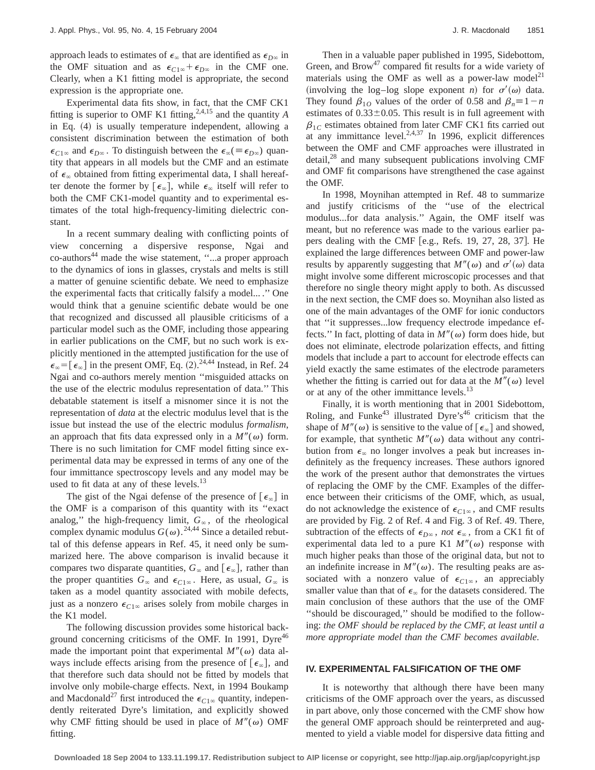approach leads to estimates of  $\epsilon_{\infty}$  that are identified as  $\epsilon_{D^{\infty}}$  in the OMF situation and as  $\epsilon_{C1\infty} + \epsilon_{D\infty}$  in the CMF one. Clearly, when a K1 fitting model is appropriate, the second expression is the appropriate one.

Experimental data fits show, in fact, that the CMF CK1 fitting is superior to OMF K1 fitting,<sup>2,4,15</sup> and the quantity  $A$ in Eq.  $(4)$  is usually temperature independent, allowing a consistent discrimination between the estimation of both  $\epsilon_{C1\infty}$  and  $\epsilon_{D\infty}$ . To distinguish between the  $\epsilon_{\infty}(\equiv \epsilon_{D\infty})$  quantity that appears in all models but the CMF and an estimate of  $\epsilon_{\infty}$  obtained from fitting experimental data, I shall hereafter denote the former by  $[\epsilon_{\infty}]$ , while  $\epsilon_{\infty}$  itself will refer to both the CMF CK1-model quantity and to experimental estimates of the total high-frequency-limiting dielectric constant.

In a recent summary dealing with conflicting points of view concerning a dispersive response, Ngai and co-authors<sup>44</sup> made the wise statement, "...a proper approach to the dynamics of ions in glasses, crystals and melts is still a matter of genuine scientific debate. We need to emphasize the experimental facts that critically falsify a model... .'' One would think that a genuine scientific debate would be one that recognized and discussed all plausible criticisms of a particular model such as the OMF, including those appearing in earlier publications on the CMF, but no such work is explicitly mentioned in the attempted justification for the use of  $\epsilon_{\infty}$  =  $[\epsilon_{\infty}]$  in the present OMF, Eq. (2).<sup>24,44</sup> Instead, in Ref. 24 Ngai and co-authors merely mention ''misguided attacks on the use of the electric modulus representation of data.'' This debatable statement is itself a misnomer since it is not the representation of *data* at the electric modulus level that is the issue but instead the use of the electric modulus *formalism*, an approach that fits data expressed only in a  $M''(\omega)$  form. There is no such limitation for CMF model fitting since experimental data may be expressed in terms of any one of the four immittance spectroscopy levels and any model may be used to fit data at any of these levels. $^{13}$ 

The gist of the Ngai defense of the presence of  $[\epsilon_{\infty}]$  in the OMF is a comparison of this quantity with its ''exact analog," the high-frequency limit,  $G_{\infty}$ , of the rheological complex dynamic modulus  $G(\omega)$ .<sup>24,44</sup> Since a detailed rebuttal of this defense appears in Ref. 45, it need only be summarized here. The above comparison is invalid because it compares two disparate quantities,  $G_{\infty}$  and  $\lceil \epsilon_{\infty} \rceil$ , rather than the proper quantities  $G_{\infty}$  and  $\epsilon_{C1\infty}$ . Here, as usual,  $G_{\infty}$  is taken as a model quantity associated with mobile defects, just as a nonzero  $\epsilon_{C1\infty}$  arises solely from mobile charges in the K1 model.

The following discussion provides some historical background concerning criticisms of the OMF. In 1991, Dyre<sup>46</sup> made the important point that experimental  $M''(\omega)$  data always include effects arising from the presence of  $[\epsilon_{\infty}]$ , and that therefore such data should not be fitted by models that involve only mobile-charge effects. Next, in 1994 Boukamp and Macdonald<sup>27</sup> first introduced the  $\epsilon_{C1\infty}$  quantity, independently reiterated Dyre's limitation, and explicitly showed why CMF fitting should be used in place of  $M''(\omega)$  OMF fitting.

Then in a valuable paper published in 1995, Sidebottom, Green, and Brow<sup>47</sup> compared fit results for a wide variety of materials using the OMF as well as a power-law model<sup>21</sup> (involving the log–log slope exponent *n*) for  $\sigma'(\omega)$  data. They found  $\beta_{10}$  values of the order of 0.58 and  $\beta_n = 1 - n$ estimates of  $0.33\pm0.05$ . This result is in full agreement with  $\beta_{1C}$  estimates obtained from later CMF CK1 fits carried out at any immittance level. $2,4,37$  In 1996, explicit differences between the OMF and CMF approaches were illustrated in  $\text{detail}^{28}$  and many subsequent publications involving CMF and OMF fit comparisons have strengthened the case against the OMF.

In 1998, Moynihan attempted in Ref. 48 to summarize and justify criticisms of the ''use of the electrical modulus...for data analysis.'' Again, the OMF itself was meant, but no reference was made to the various earlier papers dealing with the CMF [e.g., Refs. 19, 27, 28, 37]. He explained the large differences between OMF and power-law results by apparently suggesting that  $M''(\omega)$  and  $\sigma'(\omega)$  data might involve some different microscopic processes and that therefore no single theory might apply to both. As discussed in the next section, the CMF does so. Moynihan also listed as one of the main advantages of the OMF for ionic conductors that ''it suppresses...low frequency electrode impedance effects." In fact, plotting of data in  $M''(\omega)$  form does hide, but does not eliminate, electrode polarization effects, and fitting models that include a part to account for electrode effects can yield exactly the same estimates of the electrode parameters whether the fitting is carried out for data at the  $M''(\omega)$  level or at any of the other immittance levels.<sup>13</sup>

Finally, it is worth mentioning that in 2001 Sidebottom, Roling, and Funke<sup>43</sup> illustrated Dyre's<sup>46</sup> criticism that the shape of  $M''(\omega)$  is sensitive to the value of  $\lbrack \epsilon_{\infty} \rbrack$  and showed, for example, that synthetic  $M''(\omega)$  data without any contribution from  $\epsilon_{\infty}$  no longer involves a peak but increases indefinitely as the frequency increases. These authors ignored the work of the present author that demonstrates the virtues of replacing the OMF by the CMF. Examples of the difference between their criticisms of the OMF, which, as usual, do not acknowledge the existence of  $\epsilon_{C1\infty}$ , and CMF results are provided by Fig. 2 of Ref. 4 and Fig. 3 of Ref. 49. There, subtraction of the effects of  $\epsilon_{D^\infty}$ , *not*  $\epsilon_\infty$ , from a CK1 fit of experimental data led to a pure K1  $M''(\omega)$  response with much higher peaks than those of the original data, but not to an indefinite increase in  $M''(\omega)$ . The resulting peaks are associated with a nonzero value of  $\epsilon_{C1\infty}$ , an appreciably smaller value than that of  $\epsilon_{\infty}$  for the datasets considered. The main conclusion of these authors that the use of the OMF ''should be discouraged,'' should be modified to the following: *the OMF should be replaced by the CMF, at least until a more appropriate model than the CMF becomes available*.

#### **IV. EXPERIMENTAL FALSIFICATION OF THE OMF**

It is noteworthy that although there have been many criticisms of the OMF approach over the years, as discussed in part above, only those concerned with the CMF show how the general OMF approach should be reinterpreted and augmented to yield a viable model for dispersive data fitting and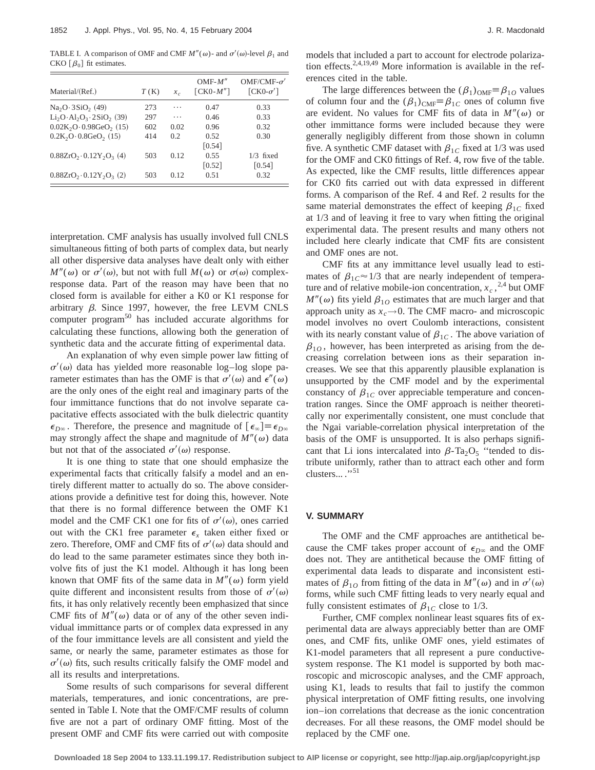TABLE I. A comparison of OMF and CMF  $M''(\omega)$ - and  $\sigma'(\omega)$ -level  $\beta_1$  and CKO  $\lceil \beta_0 \rceil$  fit estimates.

| Material/(Ref.)               | T(K) | $x_c$ | $OMF-M''$<br>$\lceil CK0-M'' \rceil$ | $OMF/CMF- \sigma'$<br>$[CK0-\sigma']$ |
|-------------------------------|------|-------|--------------------------------------|---------------------------------------|
| $Na2O·3SiO2$ (49)             | 273  | .     | 0.47                                 | 0.33                                  |
| $Li2O·Al2O3·2SiO2$ (39)       | 297  | .     | 0.46                                 | 0.33                                  |
| $0.02K2O \cdot 0.98GeO2$ (15) | 602  | 0.02  | 0.96                                 | 0.32                                  |
| $0.2K_2O \cdot 0.8GeO_2$ (15) | 414  | 0.2   | 0.52                                 | 0.30                                  |
|                               |      |       | $\lceil 0.54 \rceil$                 |                                       |
| $0.88ZrO2 \cdot 0.12Y2O3$ (4) | 503  | 0.12  | 0.55                                 | $1/3$ fixed                           |
|                               |      |       | $\lceil 0.52 \rceil$                 | $\lceil 0.54 \rceil$                  |
| $0.88ZrO2 \cdot 0.12Y2O3$ (2) | 503  | 0.12  | 0.51                                 | 0.32                                  |

interpretation. CMF analysis has usually involved full CNLS simultaneous fitting of both parts of complex data, but nearly all other dispersive data analyses have dealt only with either  $M''(\omega)$  or  $\sigma'(\omega)$ , but not with full  $M(\omega)$  or  $\sigma(\omega)$  complexresponse data. Part of the reason may have been that no closed form is available for either a K0 or K1 response for arbitrary  $\beta$ . Since 1997, however, the free LEVM CNLS computer program<sup>50</sup> has included accurate algorithms for calculating these functions, allowing both the generation of synthetic data and the accurate fitting of experimental data.

An explanation of why even simple power law fitting of  $\sigma'(\omega)$  data has yielded more reasonable log–log slope parameter estimates than has the OMF is that  $\sigma'(\omega)$  and  $\epsilon''(\omega)$ are the only ones of the eight real and imaginary parts of the four immittance functions that do not involve separate capacitative effects associated with the bulk dielectric quantity  $\epsilon_{D^\infty}$ . Therefore, the presence and magnitude of  $[\epsilon_\infty] \equiv \epsilon_{D^\infty}$ may strongly affect the shape and magnitude of  $M''(\omega)$  data but not that of the associated  $\sigma'(\omega)$  response.

It is one thing to state that one should emphasize the experimental facts that critically falsify a model and an entirely different matter to actually do so. The above considerations provide a definitive test for doing this, however. Note that there is no formal difference between the OMF K1 model and the CMF CK1 one for fits of  $\sigma'(\omega)$ , ones carried out with the CK1 free parameter  $\epsilon$ <sub>x</sub> taken either fixed or zero. Therefore, OMF and CMF fits of  $\sigma'(\omega)$  data should and do lead to the same parameter estimates since they both involve fits of just the K1 model. Although it has long been known that OMF fits of the same data in  $M''(\omega)$  form yield quite different and inconsistent results from those of  $\sigma'(\omega)$ fits, it has only relatively recently been emphasized that since CMF fits of  $M''(\omega)$  data or of any of the other seven individual immittance parts or of complex data expressed in any of the four immittance levels are all consistent and yield the same, or nearly the same, parameter estimates as those for  $\sigma'(\omega)$  fits, such results critically falsify the OMF model and all its results and interpretations.

Some results of such comparisons for several different materials, temperatures, and ionic concentrations, are presented in Table I. Note that the OMF/CMF results of column five are not a part of ordinary OMF fitting. Most of the present OMF and CMF fits were carried out with composite models that included a part to account for electrode polarization effects.2,4,19,49 More information is available in the references cited in the table.

The large differences between the  $(\beta_1)_{\text{OMF}} \equiv \beta_{10}$  values of column four and the  $(\beta_1)_{\text{CMF}} \equiv \beta_{1C}$  ones of column five are evident. No values for CMF fits of data in  $M''(\omega)$  or other immittance forms were included because they were generally negligibly different from those shown in column five. A synthetic CMF dataset with  $\beta_{1C}$  fixed at 1/3 was used for the OMF and CK0 fittings of Ref. 4, row five of the table. As expected, like the CMF results, little differences appear for CK0 fits carried out with data expressed in different forms. A comparison of the Ref. 4 and Ref. 2 results for the same material demonstrates the effect of keeping  $\beta_{1C}$  fixed at 1/3 and of leaving it free to vary when fitting the original experimental data. The present results and many others not included here clearly indicate that CMF fits are consistent and OMF ones are not.

CMF fits at any immittance level usually lead to estimates of  $\beta_{1}C \approx 1/3$  that are nearly independent of temperature and of relative mobile-ion concentration,  $x_c$ ,  $^{2,4}$  but OMF  $M''(\omega)$  fits yield  $\beta_{10}$  estimates that are much larger and that approach unity as  $x_c \rightarrow 0$ . The CMF macro- and microscopic model involves no overt Coulomb interactions, consistent with its nearly constant value of  $\beta_{1C}$ . The above variation of  $\beta_{10}$ , however, has been interpreted as arising from the decreasing correlation between ions as their separation increases. We see that this apparently plausible explanation is unsupported by the CMF model and by the experimental constancy of  $\beta_{1C}$  over appreciable temperature and concentration ranges. Since the OMF approach is neither theoretically nor experimentally consistent, one must conclude that the Ngai variable-correlation physical interpretation of the basis of the OMF is unsupported. It is also perhaps significant that Li ions intercalated into  $\beta$ -Ta<sub>2</sub>O<sub>5</sub> "tended to distribute uniformly, rather than to attract each other and form clusters...  $\cdot$ <sup>51</sup>

## **V. SUMMARY**

The OMF and the CMF approaches are antithetical because the CMF takes proper account of  $\epsilon_{D\infty}$  and the OMF does not. They are antithetical because the OMF fitting of experimental data leads to disparate and inconsistent estimates of  $\beta_{10}$  from fitting of the data in  $M''(\omega)$  and in  $\sigma'(\omega)$ forms, while such CMF fitting leads to very nearly equal and fully consistent estimates of  $\beta_{1C}$  close to 1/3.

Further, CMF complex nonlinear least squares fits of experimental data are always appreciably better than are OMF ones, and CMF fits, unlike OMF ones, yield estimates of K1-model parameters that all represent a pure conductivesystem response. The K1 model is supported by both macroscopic and microscopic analyses, and the CMF approach, using K1, leads to results that fail to justify the common physical interpretation of OMF fitting results, one involving ion–ion correlations that decrease as the ionic concentration decreases. For all these reasons, the OMF model should be replaced by the CMF one.

**Downloaded 18 Sep 2004 to 133.11.199.17. Redistribution subject to AIP license or copyright, see http://jap.aip.org/jap/copyright.jsp**